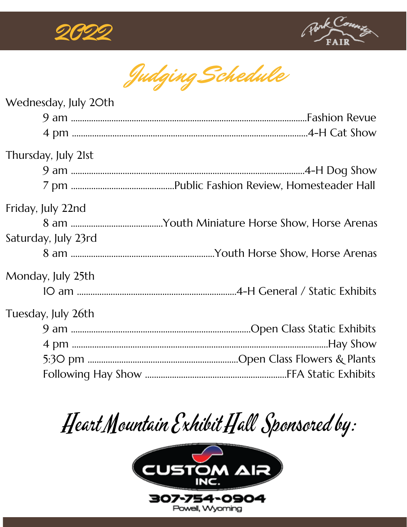



Judging Schedule

| Wednesday, July 20th |  |
|----------------------|--|
|                      |  |
|                      |  |
| Thursday, July 21st  |  |
|                      |  |
|                      |  |
| Friday, July 22nd    |  |
|                      |  |
| Saturday, July 23rd  |  |
|                      |  |
| Monday, July 25th    |  |
|                      |  |
| Tuesday, July 26th   |  |
|                      |  |
|                      |  |
|                      |  |
|                      |  |

## Heart Mountain Exhibit Hall Sponsored by:

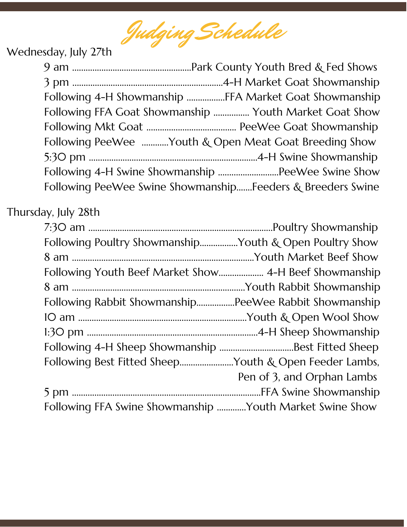Judging Schedule

## Wednesday, July 27th

|                                                             | Following 4-H Showmanship FFA Market Goat Showmanship  |  |
|-------------------------------------------------------------|--------------------------------------------------------|--|
|                                                             | Following FFA Goat Showmanship  Youth Market Goat Show |  |
|                                                             |                                                        |  |
|                                                             | Following PeeWee Youth & Open Meat Goat Breeding Show  |  |
|                                                             |                                                        |  |
|                                                             |                                                        |  |
| Following PeeWee Swine Showmanship Feeders & Breeders Swine |                                                        |  |

## Thursday, July 28th

| Following Poultry ShowmanshipYouth & Open Poultry Show  |                            |
|---------------------------------------------------------|----------------------------|
|                                                         |                            |
|                                                         |                            |
|                                                         |                            |
| Following Rabbit ShowmanshipPeeWee Rabbit Showmanship   |                            |
|                                                         |                            |
|                                                         |                            |
|                                                         |                            |
| Following Best Fitted SheepYouth & Open Feeder Lambs,   |                            |
|                                                         | Pen of 3, and Orphan Lambs |
|                                                         |                            |
| Following FFA Swine Showmanship Youth Market Swine Show |                            |